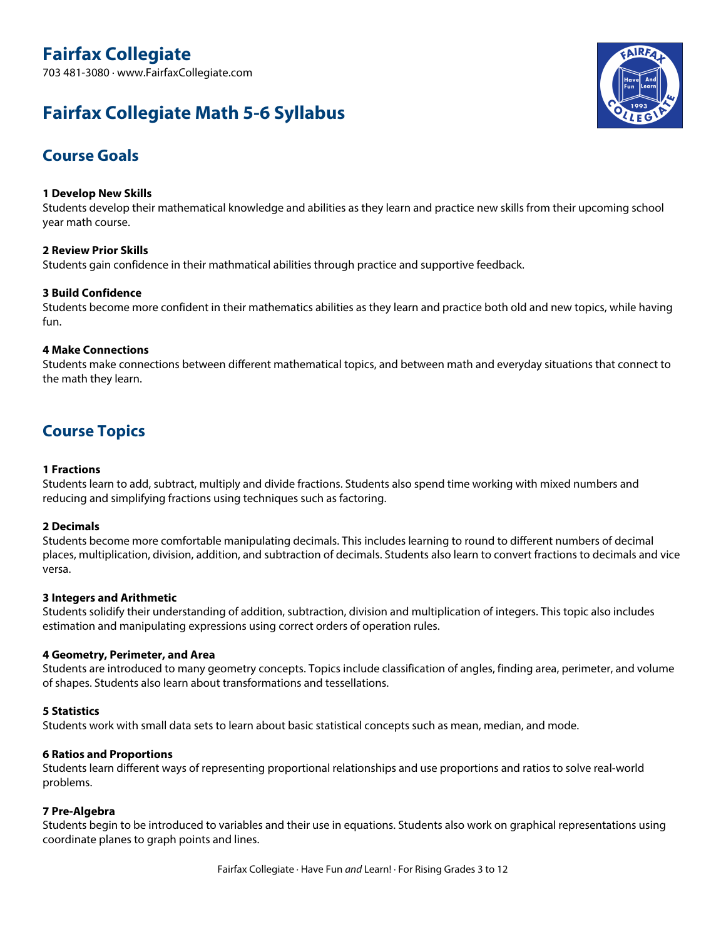# **Fairfax Collegiate**

703 481-3080 · www.FairfaxCollegiate.com

# **Fairfax Collegiate Math 5-6 Syllabus**



## **Course Goals**

## **1 Develop New Skills**

Students develop their mathematical knowledge and abilities as they learn and practice new skills from their upcoming school year math course.

## **2 Review Prior Skills**

Students gain confidence in their mathmatical abilities through practice and supportive feedback.

## **3 Build Confidence**

Students become more confident in their mathematics abilities as they learn and practice both old and new topics, while having fun.

## **4 Make Connections**

Students make connections between different mathematical topics, and between math and everyday situations that connect to the math they learn.

## **Course Topics**

## **1 Fractions**

Students learn to add, subtract, multiply and divide fractions. Students also spend time working with mixed numbers and reducing and simplifying fractions using techniques such as factoring.

## **2 Decimals**

Students become more comfortable manipulating decimals. This includes learning to round to different numbers of decimal places, multiplication, division, addition, and subtraction of decimals. Students also learn to convert fractions to decimals and vice versa.

## **3 Integers and Arithmetic**

Students solidify their understanding of addition, subtraction, division and multiplication of integers. This topic also includes estimation and manipulating expressions using correct orders of operation rules.

## **4 Geometry, Perimeter, and Area**

Students are introduced to many geometry concepts. Topics include classification of angles, finding area, perimeter, and volume of shapes. Students also learn about transformations and tessellations.

## **5 Statistics**

Students work with small data sets to learn about basic statistical concepts such as mean, median, and mode.

## **6 Ratios and Proportions**

Students learn different ways of representing proportional relationships and use proportions and ratios to solve real-world problems.

## **7 Pre-Algebra**

Students begin to be introduced to variables and their use in equations. Students also work on graphical representations using coordinate planes to graph points and lines.

Fairfax Collegiate · Have Fun *and* Learn! · For Rising Grades 3 to 12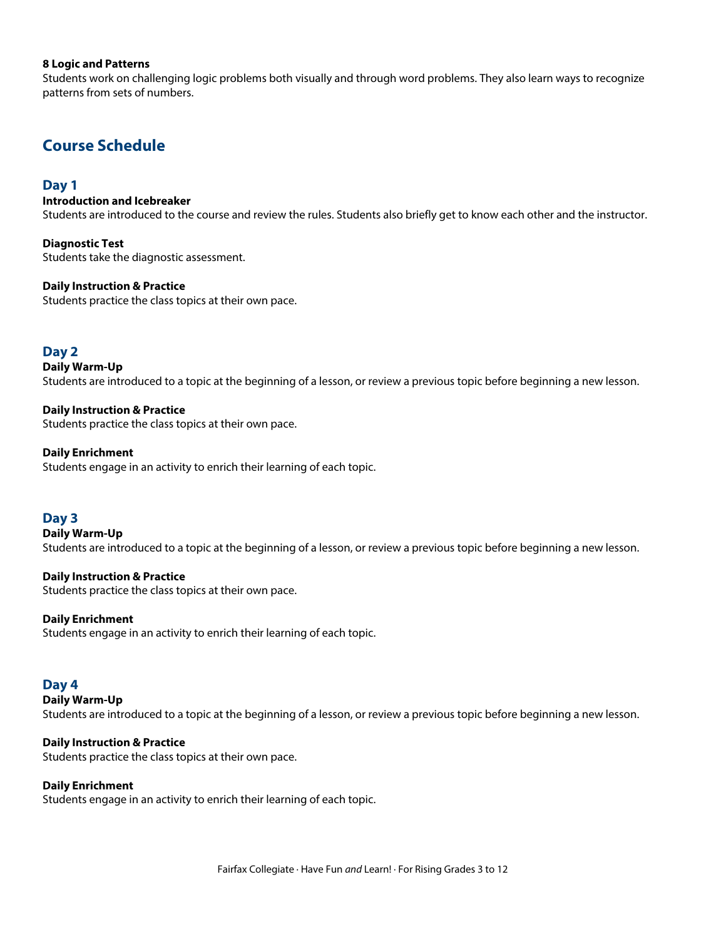## **8 Logic and Patterns**

Students work on challenging logic problems both visually and through word problems. They also learn ways to recognize patterns from sets of numbers.

## **Course Schedule**

## **Day 1**

**Introduction and Icebreaker**

Students are introduced to the course and review the rules. Students also briefly get to know each other and the instructor.

**Diagnostic Test** Students take the diagnostic assessment.

**Daily Instruction & Practice** Students practice the class topics at their own pace.

## **Day 2**

**Daily Warm-Up** Students are introduced to <sup>a</sup> topic at the beginning of <sup>a</sup> lesson, or review <sup>a</sup> previous topic before beginning <sup>a</sup> new lesson.

**Daily Instruction & Practice** Students practice the class topics at their own pace.

#### **Daily Enrichment**

Students engage in an activity to enrich their learning of each topic.

## **Day 3**

**Daily Warm-Up** Students are introduced to <sup>a</sup> topic at the beginning of <sup>a</sup> lesson, or review <sup>a</sup> previous topic before beginning <sup>a</sup> new lesson.

## **Daily Instruction & Practice**

Students practice the class topics at their own pace.

#### **Daily Enrichment**

Students engage in an activity to enrich their learning of each topic.

## **Day 4**

**Daily Warm-Up**

Students are introduced to <sup>a</sup> topic at the beginning of <sup>a</sup> lesson, or review <sup>a</sup> previous topic before beginning <sup>a</sup> new lesson.

## **Daily Instruction & Practice**

Students practice the class topics at their own pace.

#### **Daily Enrichment**

Students engage in an activity to enrich their learning of each topic.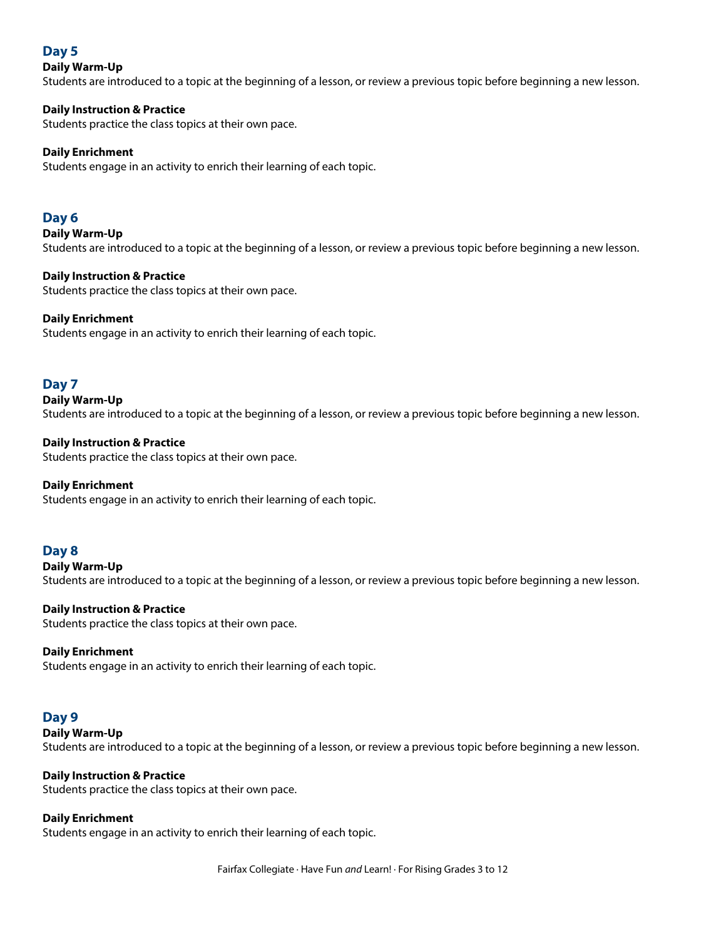## **Day 5**

## **Daily Warm-Up**

Students are introduced to <sup>a</sup> topic at the beginning of <sup>a</sup> lesson, or review <sup>a</sup> previous topic before beginning <sup>a</sup> new lesson.

## **Daily Instruction & Practice**

Students practice the class topics at their own pace.

## **Daily Enrichment**

Students engage in an activity to enrich their learning of each topic.

## **Day 6**

**Daily Warm-Up** Students are introduced to <sup>a</sup> topic at the beginning of <sup>a</sup> lesson, or review <sup>a</sup> previous topic before beginning <sup>a</sup> new lesson.

## **Daily Instruction & Practice**

Students practice the class topics at their own pace.

## **Daily Enrichment**

Students engage in an activity to enrich their learning of each topic.

## **Day 7**

**Daily Warm-Up** Students are introduced to <sup>a</sup> topic at the beginning of <sup>a</sup> lesson, or review <sup>a</sup> previous topic before beginning <sup>a</sup> new lesson.

## **Daily Instruction & Practice**

Students practice the class topics at their own pace.

## **Daily Enrichment**

Students engage in an activity to enrich their learning of each topic.

## **Day 8**

**Daily Warm-Up**

Students are introduced to <sup>a</sup> topic at the beginning of <sup>a</sup> lesson, or review <sup>a</sup> previous topic before beginning <sup>a</sup> new lesson.

## **Daily Instruction & Practice**

Students practice the class topics at their own pace.

## **Daily Enrichment**

Students engage in an activity to enrich their learning of each topic.

## **Day 9**

**Daily Warm-Up**

Students are introduced to <sup>a</sup> topic at the beginning of <sup>a</sup> lesson, or review <sup>a</sup> previous topic before beginning <sup>a</sup> new lesson.

## **Daily Instruction & Practice**

Students practice the class topics at their own pace.

## **Daily Enrichment**

Students engage in an activity to enrich their learning of each topic.